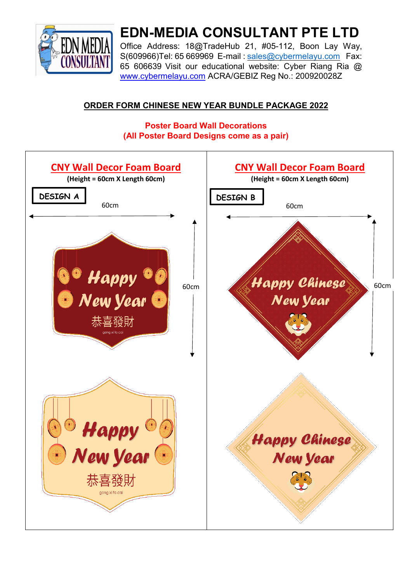

# **EDN-MEDIA CONSULTANT PTE LTD**

Office Address: 18@TradeHub 21, #05-112, Boon Lay Way, S(609966)Tel: 65 669969 E-mail : [sales@cybermelayu.com](mailto:sales@cybermelayu.com) Fax: 65 606639 Visit our educational website: Cyber Riang Ria @ [www.cybermelayu.com](http://www.cybermelayu.com/) [A](http://www.cybermelayu.com/)CRA/GEBIZ Reg No.: 200920028Z

#### **ORDER FORM CHINESE NEW YEAR BUNDLE PACKAGE 2022**

#### **Poster Board Wall Decorations (All Poster Board Designs come as a pair)**

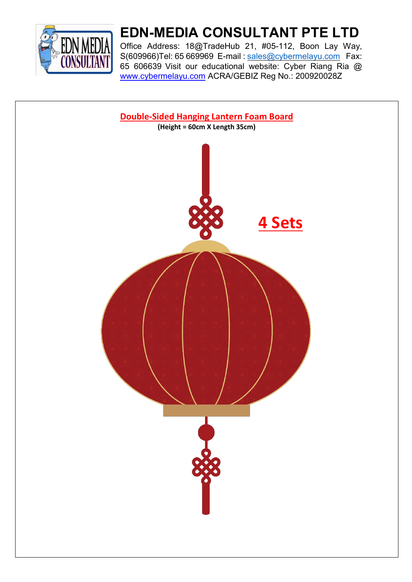

# **EDN-MEDIA CONSULTANT PTE LTD**

Office Address: 18@TradeHub 21, #05-112, Boon Lay Way, S(609966)Tel: 65 669969 E-mail : [sales@cybermelayu.com](mailto:sales@cybermelayu.com) Fax: 65 606639 Visit our educational website: Cyber Riang Ria @ [www.cybermelayu.com](http://www.cybermelayu.com/) [A](http://www.cybermelayu.com/)CRA/GEBIZ Reg No.: 200920028Z